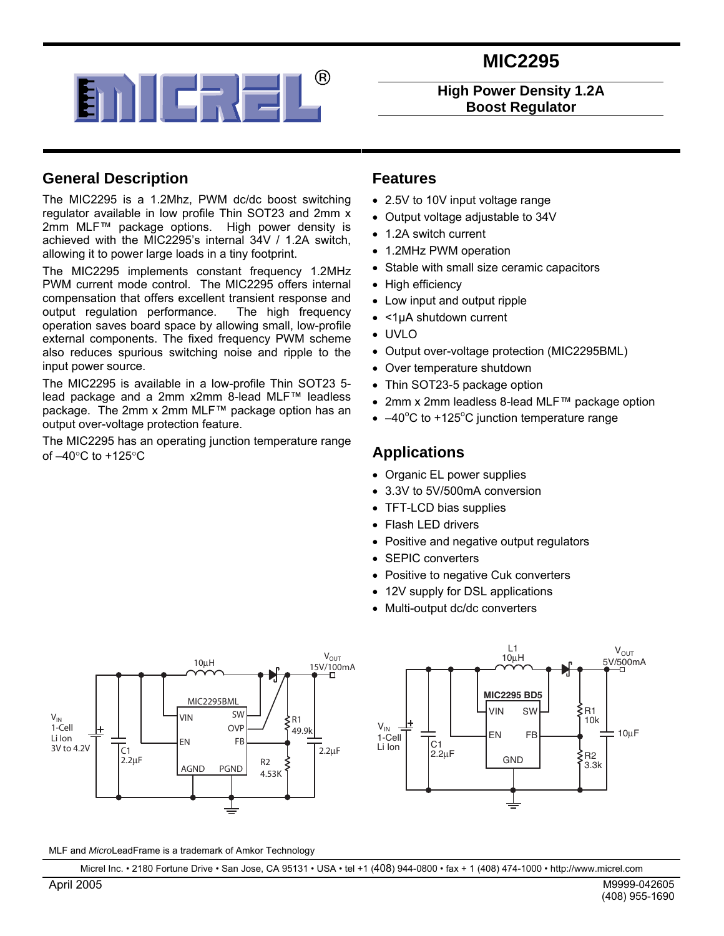



**High Power Density 1.2A Boost Regulator** 

### **General Description**

The MIC2295 is a 1.2Mhz, PWM dc/dc boost switching regulator available in low profile Thin SOT23 and 2mm x 2mm MLF™ package options. High power density is achieved with the MIC2295's internal 34V / 1.2A switch, allowing it to power large loads in a tiny footprint.

The MIC2295 implements constant frequency 1.2MHz PWM current mode control. The MIC2295 offers internal compensation that offers excellent transient response and output regulation performance. The high frequency operation saves board space by allowing small, low-profile external components. The fixed frequency PWM scheme also reduces spurious switching noise and ripple to the input power source.

The MIC2295 is available in a low-profile Thin SOT23 5 lead package and a 2mm x2mm 8-lead MLF™ leadless package. The 2mm x 2mm MLF™ package option has an output over-voltage protection feature.

The MIC2295 has an operating junction temperature range of –40°C to +125°C

#### **Features**

- 2.5V to 10V input voltage range
- Output voltage adjustable to 34V
- 1.2A switch current
- 1.2MHz PWM operation
- Stable with small size ceramic capacitors
- High efficiency
- Low input and output ripple
- <1µA shutdown current
- UVLO
- Output over-voltage protection (MIC2295BML)
- Over temperature shutdown
- Thin SOT23-5 package option
- 2mm x 2mm leadless 8-lead MLF™ package option
- $\bullet$  -40°C to +125°C junction temperature range

### **Applications**

- Organic EL power supplies
- 3.3V to 5V/500mA conversion
- TFT-LCD bias supplies
- Flash LED drivers
- Positive and negative output regulators
- SEPIC converters
- Positive to negative Cuk converters
- 12V supply for DSL applications
- Multi-output dc/dc converters





MLF and *Micro*LeadFrame is a trademark of Amkor Technology

Micrel Inc. • 2180 Fortune Drive • San Jose, CA 95131 • USA • tel +1 (408) 944-0800 • fax + 1 (408) 474-1000 • http://www.micrel.com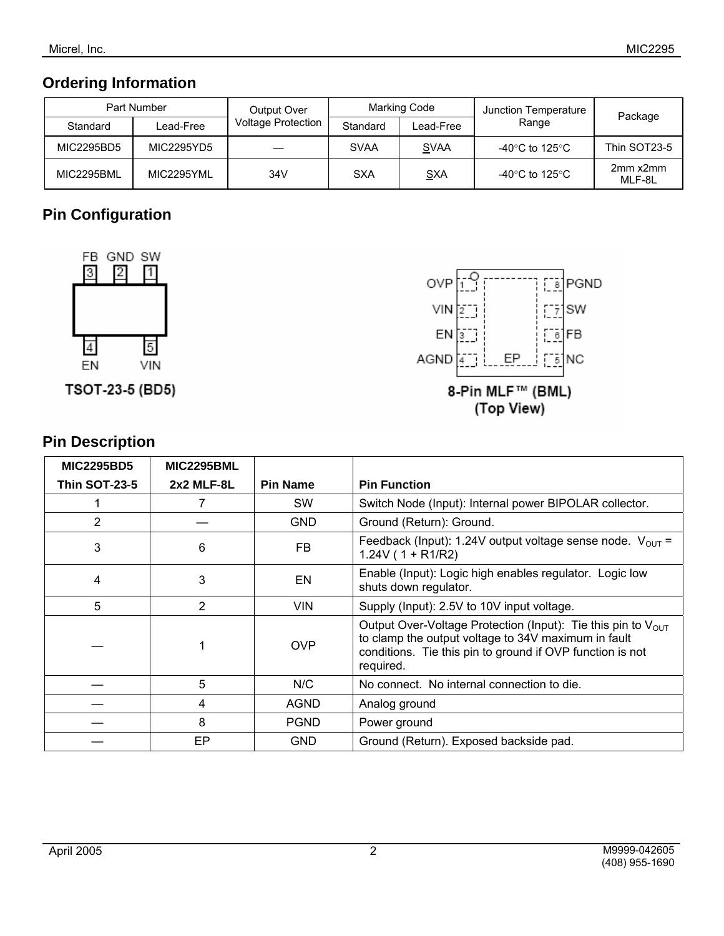## **Ordering Information**

| Part Number |            | Output Over               | <b>Marking Code</b> |             | Junction Temperature                 | Package            |  |
|-------------|------------|---------------------------|---------------------|-------------|--------------------------------------|--------------------|--|
| Standard    | Lead-Free  | <b>Voltage Protection</b> | Standard            | Lead-Free   | Range                                |                    |  |
| MIC2295BD5  | MIC2295YD5 |                           | <b>SVAA</b>         | <b>SVAA</b> | -40°C to 125°C                       | Thin SOT23-5       |  |
| MIC2295BML  | MIC2295YML | 34V                       | <b>SXA</b>          | <b>SXA</b>  | -40 $^{\circ}$ C to 125 $^{\circ}$ C | 2mm x2mm<br>MLF-8L |  |

# **Pin Configuration**



TSOT-23-5 (BD5)



## **Pin Description**

| <b>MIC2295BD5</b>    | <b>MIC2295BML</b> |                 |                                                                                                                                                                                                           |
|----------------------|-------------------|-----------------|-----------------------------------------------------------------------------------------------------------------------------------------------------------------------------------------------------------|
| <b>Thin SOT-23-5</b> | $2x2$ MLF-8L      | <b>Pin Name</b> | <b>Pin Function</b>                                                                                                                                                                                       |
|                      | 7                 | <b>SW</b>       | Switch Node (Input): Internal power BIPOLAR collector.                                                                                                                                                    |
| 2                    |                   | <b>GND</b>      | Ground (Return): Ground.                                                                                                                                                                                  |
| 3                    | 6                 | FB              | Feedback (Input): 1.24V output voltage sense node. $V_{\text{OUT}} =$<br>$1.24V(1 + R1/R2)$                                                                                                               |
| 4                    | 3                 | EN              | Enable (Input): Logic high enables regulator. Logic low<br>shuts down regulator.                                                                                                                          |
| 5                    | $\overline{2}$    | <b>VIN</b>      | Supply (Input): 2.5V to 10V input voltage.                                                                                                                                                                |
|                      | 1                 | <b>OVP</b>      | Output Over-Voltage Protection (Input): Tie this pin to V <sub>OUT</sub><br>to clamp the output voltage to 34V maximum in fault<br>conditions. Tie this pin to ground if OVP function is not<br>required. |
|                      | 5                 | N/C             | No connect. No internal connection to die.                                                                                                                                                                |
|                      | 4                 | <b>AGND</b>     | Analog ground                                                                                                                                                                                             |
|                      | 8                 | <b>PGND</b>     | Power ground                                                                                                                                                                                              |
|                      | EP                | <b>GND</b>      | Ground (Return). Exposed backside pad.                                                                                                                                                                    |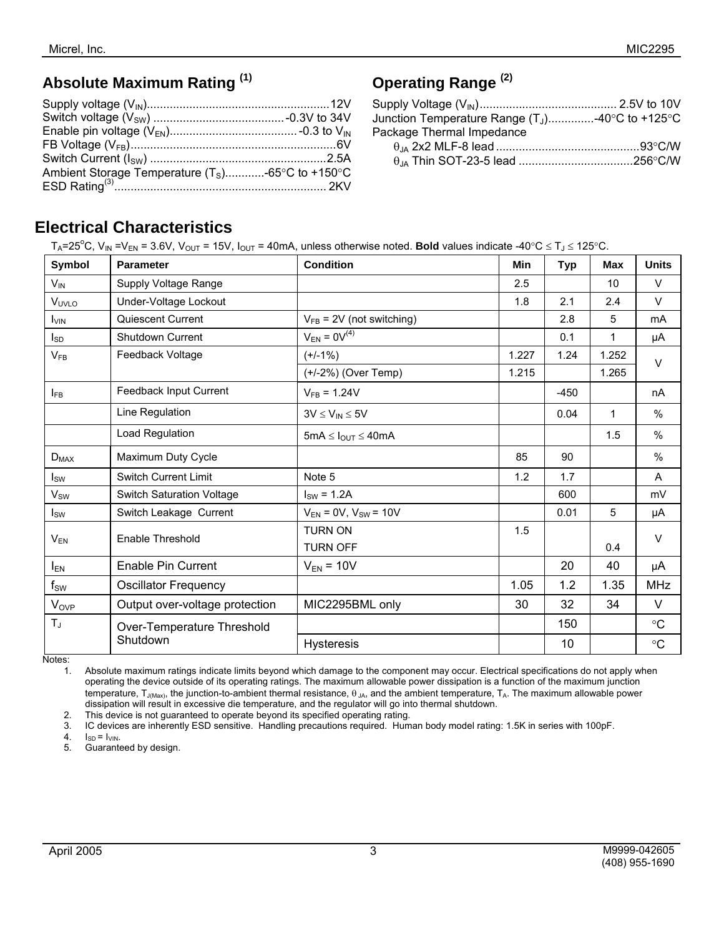# **Absolute Maximum Rating (1)**

| Ambient Storage Temperature $(T_S)$ -65°C to +150°C |  |
|-----------------------------------------------------|--|
|                                                     |  |
|                                                     |  |

# **Operating Range (2)**

| Junction Temperature Range $(T_1)$ -40°C to +125°C |  |
|----------------------------------------------------|--|
| Package Thermal Impedance                          |  |
|                                                    |  |
|                                                    |  |

# **Electrical Characteristics**

 $T_A = 25^\circ \text{C}$ , V<sub>IN</sub> = V<sub>EN</sub> = 3.6V, V<sub>OUT</sub> = 15V, I<sub>OUT</sub> = 40mA, unless otherwise noted. **Bold** values indicate -40°C ≤ T<sub>J</sub> ≤ 125°C.

| Symbol            | <b>Parameter</b>                 | <b>Condition</b>               | Min   | <b>Typ</b> | Max          | <b>Units</b>      |
|-------------------|----------------------------------|--------------------------------|-------|------------|--------------|-------------------|
| $V_{IN}$          | Supply Voltage Range             |                                | 2.5   |            | 10           | $\vee$            |
| V <sub>UVLO</sub> | Under-Voltage Lockout            |                                | 1.8   | 2.1        | 2.4          | $\vee$            |
| <b>I</b> VIN      | Quiescent Current                | $V_{FB}$ = 2V (not switching)  |       | 2.8        | 5            | mA                |
| $I_{SD}$          | Shutdown Current                 | $V_{EN} = 0V^{(4)}$            |       | 0.1        | 1            | μA                |
| $V_{FB}$          | Feedback Voltage                 | $(+/-1%)$                      | 1.227 | 1.24       | 1.252        | $\vee$            |
|                   |                                  | (+/-2%) (Over Temp)            | 1.215 |            | 1.265        |                   |
| $I_{FB}$          | Feedback Input Current           | $V_{FB} = 1.24V$               |       | $-450$     |              | nA                |
|                   | Line Regulation                  | $3V \leq V_{IN} \leq 5V$       |       | 0.04       | $\mathbf{1}$ | %                 |
|                   | Load Regulation                  | $5mA \leq I_{OUT} \leq 40mA$   |       |            | 1.5          | %                 |
| $D_{MAX}$         | Maximum Duty Cycle               |                                | 85    | 90         |              | $\%$              |
| $I_{SW}$          | <b>Switch Current Limit</b>      | Note 5                         | 1.2   | 1.7        |              | A                 |
| $V_{SW}$          | <b>Switch Saturation Voltage</b> | $ISW = 1.2A$                   |       | 600        |              | mV                |
| $I_{SW}$          | Switch Leakage Current           | $V_{EN} = 0V$ , $V_{SW} = 10V$ |       | 0.01       | 5            | μA                |
| $V_{EN}$          | Enable Threshold                 | <b>TURN ON</b>                 | 1.5   |            |              | $\vee$            |
|                   |                                  | <b>TURN OFF</b>                |       |            | 0.4          |                   |
| $I_{EN}$          | Enable Pin Current               | $V_{EN}$ = 10V                 |       | 20         | 40           | μA                |
| $f_{SW}$          | <b>Oscillator Frequency</b>      |                                | 1.05  | 1.2        | 1.35         | <b>MHz</b>        |
| $V_{OVP}$         | Output over-voltage protection   | MIC2295BML only                | 30    | 32         | 34           | V                 |
| $T_J$             | Over-Temperature Threshold       |                                |       | 150        |              | $^{\circ}{\rm C}$ |
|                   | Shutdown                         | <b>Hysteresis</b>              |       | 10         |              | $^\circ \text{C}$ |

Notes:

1. Absolute maximum ratings indicate limits beyond which damage to the component may occur. Electrical specifications do not apply when operating the device outside of its operating ratings. The maximum allowable power dissipation is a function of the maximum junction temperature,  $T_{J(Max)}$ , the junction-to-ambient thermal resistance,  $\theta_{JA}$ , and the ambient temperature,  $T_A$ . The maximum allowable power dissipation will result in excessive die temperature, and the regulator will go into thermal shutdown.

2. This device is not guaranteed to operate beyond its specified operating rating.

3. IC devices are inherently ESD sensitive. Handling precautions required. Human body model rating: 1.5K in series with 100pF.

4.  $I_{SD} = I_{VIN}$ .<br>5. Guarante Guaranteed by design.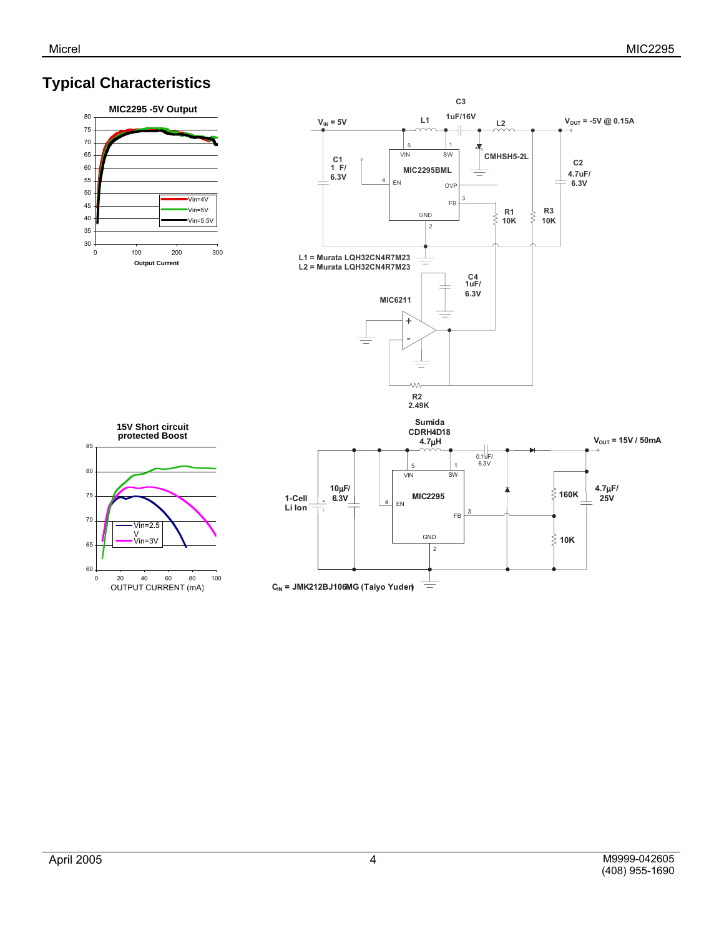# **Typical Characteristics**





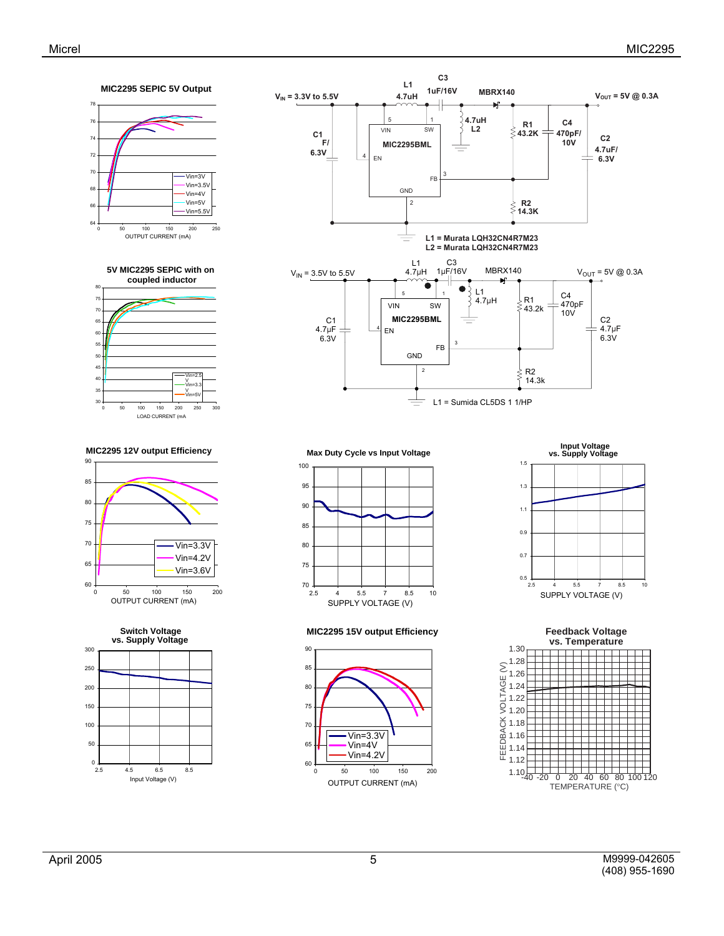







**MIC2295 15V output Efficiency**







60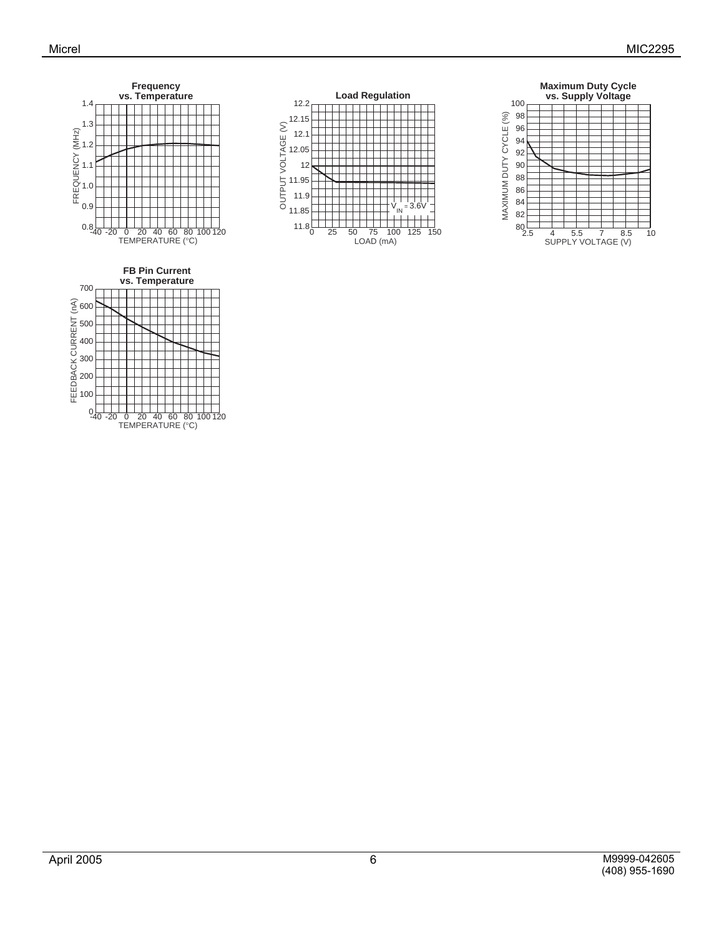



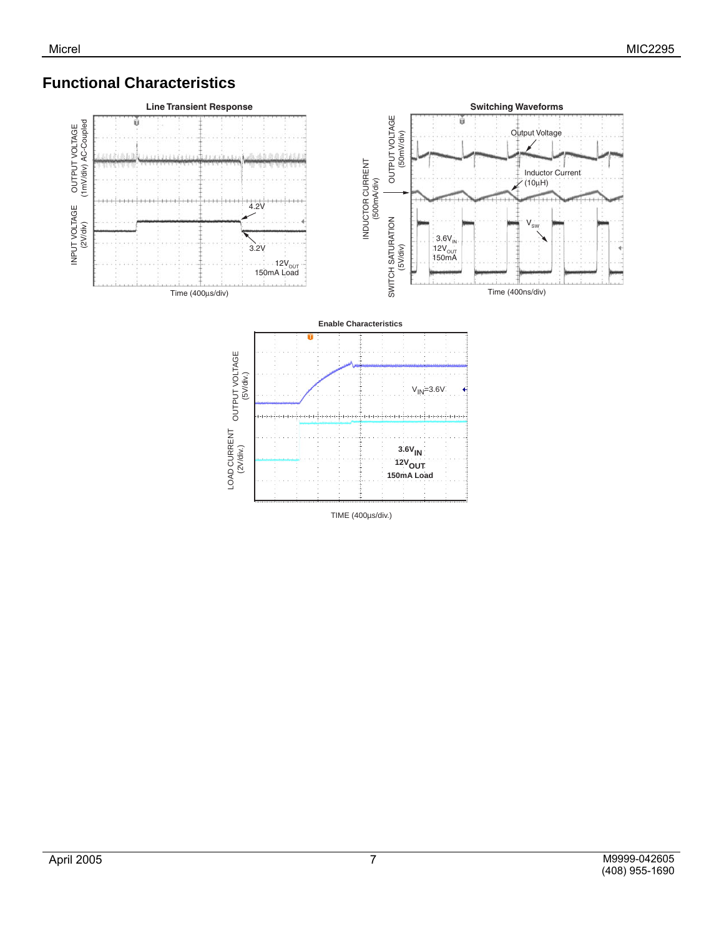# **Functional Characteristics**



TIME (400µs/div.)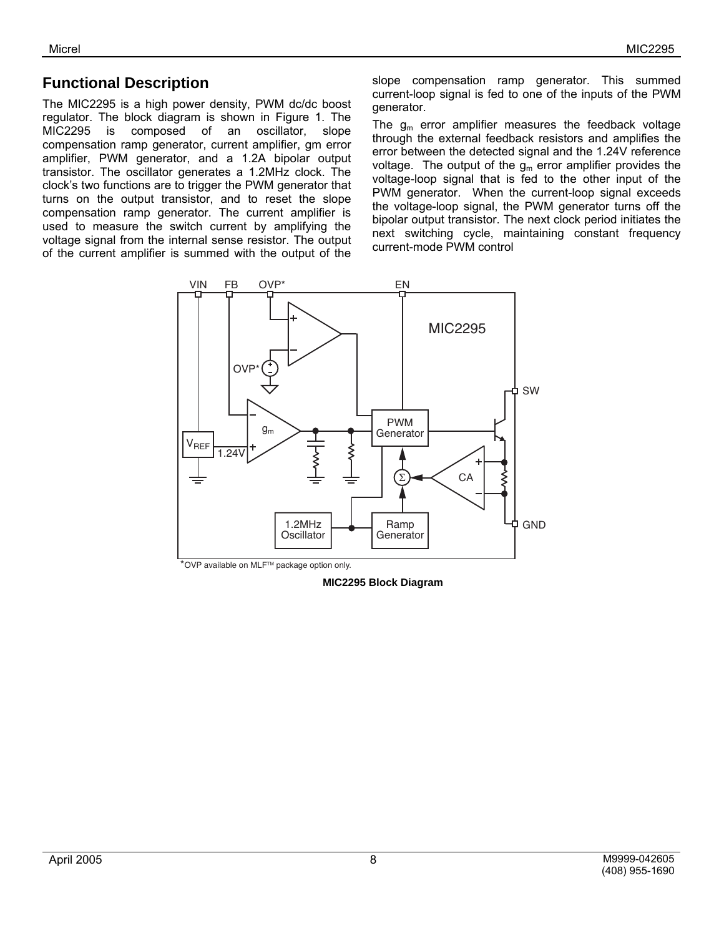### **Functional Description**

The MIC2295 is a high power density, PWM dc/dc boost regulator. The block diagram is shown in Figure 1. The MIC2295 is composed of an oscillator, slope compensation ramp generator, current amplifier, gm error amplifier, PWM generator, and a 1.2A bipolar output transistor. The oscillator generates a 1.2MHz clock. The clock's two functions are to trigger the PWM generator that turns on the output transistor, and to reset the slope compensation ramp generator. The current amplifier is used to measure the switch current by amplifying the voltage signal from the internal sense resistor. The output of the current amplifier is summed with the output of the

slope compensation ramp generator. This summed current-loop signal is fed to one of the inputs of the PWM generator.

The  $g_m$  error amplifier measures the feedback voltage through the external feedback resistors and amplifies the error between the detected signal and the 1.24V reference voltage. The output of the  $g_m$  error amplifier provides the voltage-loop signal that is fed to the other input of the PWM generator. When the current-loop signal exceeds the voltage-loop signal, the PWM generator turns off the bipolar output transistor. The next clock period initiates the next switching cycle, maintaining constant frequency current-mode PWM control



**MIC2295 Block Diagram**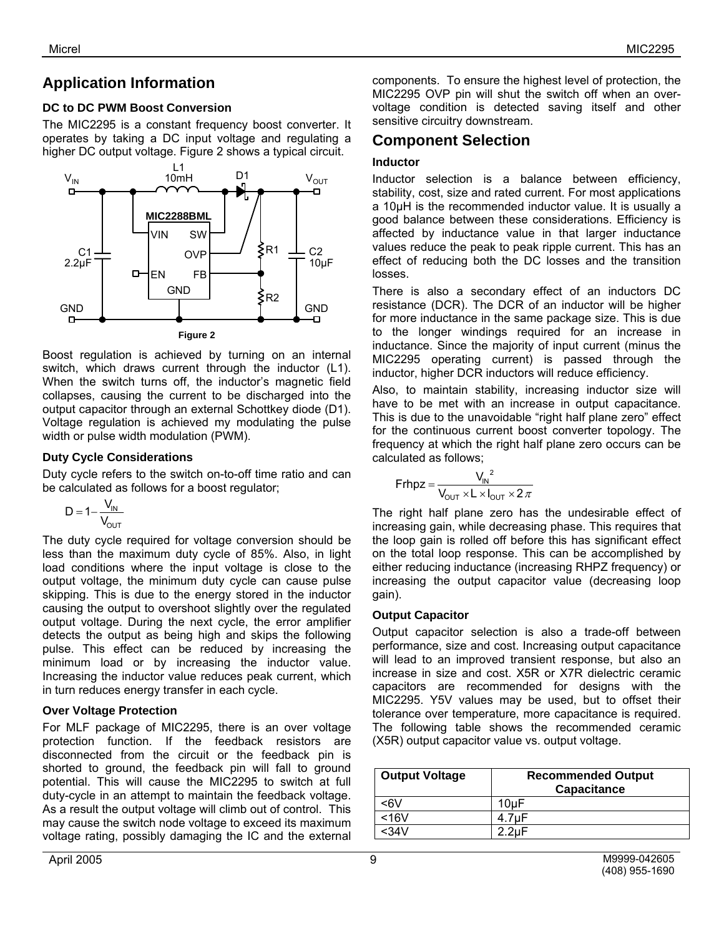# **Application Information**

#### **DC to DC PWM Boost Conversion**

The MIC2295 is a constant frequency boost converter. It operates by taking a DC input voltage and regulating a higher DC output voltage. Figure 2 shows a typical circuit.



Boost regulation is achieved by turning on an internal switch, which draws current through the inductor (L1). When the switch turns off, the inductor's magnetic field collapses, causing the current to be discharged into the output capacitor through an external Schottkey diode (D1). Voltage regulation is achieved my modulating the pulse width or pulse width modulation (PWM).

#### **Duty Cycle Considerations**

Duty cycle refers to the switch on-to-off time ratio and can be calculated as follows for a boost regulator;

$$
D=1-\frac{V_{IN}}{V_{OUT}}
$$

The duty cycle required for voltage conversion should be less than the maximum duty cycle of 85%. Also, in light load conditions where the input voltage is close to the output voltage, the minimum duty cycle can cause pulse skipping. This is due to the energy stored in the inductor causing the output to overshoot slightly over the regulated output voltage. During the next cycle, the error amplifier detects the output as being high and skips the following pulse. This effect can be reduced by increasing the minimum load or by increasing the inductor value. Increasing the inductor value reduces peak current, which in turn reduces energy transfer in each cycle.

#### **Over Voltage Protection**

For MLF package of MIC2295, there is an over voltage protection function. If the feedback resistors are disconnected from the circuit or the feedback pin is shorted to ground, the feedback pin will fall to ground potential. This will cause the MIC2295 to switch at full duty-cycle in an attempt to maintain the feedback voltage. As a result the output voltage will climb out of control. This may cause the switch node voltage to exceed its maximum voltage rating, possibly damaging the IC and the external components. To ensure the highest level of protection, the MIC2295 OVP pin will shut the switch off when an overvoltage condition is detected saving itself and other sensitive circuitry downstream.

### **Component Selection**

#### **Inductor**

Inductor selection is a balance between efficiency, stability, cost, size and rated current. For most applications a 10µH is the recommended inductor value. It is usually a good balance between these considerations. Efficiency is affected by inductance value in that larger inductance values reduce the peak to peak ripple current. This has an effect of reducing both the DC losses and the transition losses.

There is also a secondary effect of an inductors DC resistance (DCR). The DCR of an inductor will be higher for more inductance in the same package size. This is due to the longer windings required for an increase in inductance. Since the majority of input current (minus the MIC2295 operating current) is passed through the inductor, higher DCR inductors will reduce efficiency.

Also, to maintain stability, increasing inductor size will have to be met with an increase in output capacitance. This is due to the unavoidable "right half plane zero" effect for the continuous current boost converter topology. The frequency at which the right half plane zero occurs can be calculated as follows;

$$
Frhpz = \frac{V_{IN}^2}{V_{OUT} \times L \times I_{OUT} \times 2\pi}
$$

The right half plane zero has the undesirable effect of increasing gain, while decreasing phase. This requires that the loop gain is rolled off before this has significant effect on the total loop response. This can be accomplished by either reducing inductance (increasing RHPZ frequency) or increasing the output capacitor value (decreasing loop gain).

#### **Output Capacitor**

Output capacitor selection is also a trade-off between performance, size and cost. Increasing output capacitance will lead to an improved transient response, but also an increase in size and cost. X5R or X7R dielectric ceramic capacitors are recommended for designs with the MIC2295. Y5V values may be used, but to offset their tolerance over temperature, more capacitance is required. The following table shows the recommended ceramic (X5R) output capacitor value vs. output voltage.

| <b>Output Voltage</b> | <b>Recommended Output</b><br>Capacitance |
|-----------------------|------------------------------------------|
| <6V                   | 10uF                                     |
| <16V                  | 4.7 <sub>u</sub> F                       |
| <34V                  | $2.2 \text{uF}$                          |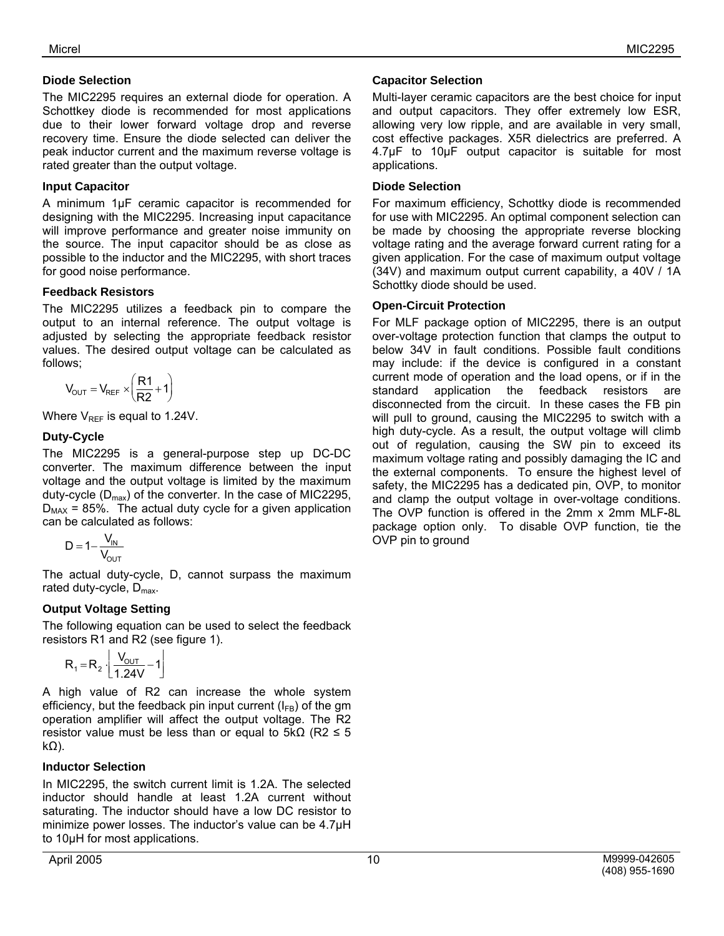#### **Diode Selection**

The MIC2295 requires an external diode for operation. A Schottkey diode is recommended for most applications due to their lower forward voltage drop and reverse recovery time. Ensure the diode selected can deliver the peak inductor current and the maximum reverse voltage is rated greater than the output voltage.

#### **Input Capacitor**

A minimum 1µF ceramic capacitor is recommended for designing with the MIC2295. Increasing input capacitance will improve performance and greater noise immunity on the source. The input capacitor should be as close as possible to the inductor and the MIC2295, with short traces for good noise performance.

#### **Feedback Resistors**

The MIC2295 utilizes a feedback pin to compare the output to an internal reference. The output voltage is adjusted by selecting the appropriate feedback resistor values. The desired output voltage can be calculated as follows;

$$
V_{OUT} = V_{REF} \times \left(\frac{R1}{R2} + 1\right)
$$

Where  $V_{REF}$  is equal to 1.24V.

#### **Duty-Cycle**

The MIC2295 is a general-purpose step up DC-DC converter. The maximum difference between the input voltage and the output voltage is limited by the maximum duty-cycle  $(D_{\text{max}})$  of the converter. In the case of MIC2295,  $D_{MAX}$  = 85%. The actual duty cycle for a given application can be calculated as follows:

$$
D = 1 - \frac{V_{IN}}{V_{OUT}}
$$

The actual duty-cycle, D, cannot surpass the maximum rated duty-cycle,  $D_{\text{max}}$ .

#### **Output Voltage Setting**

The following equation can be used to select the feedback resistors R1 and R2 (see figure 1).

$$
R_1 = R_2 \cdot \left\lfloor \frac{V_{OUT}}{1.24V} - 1 \right\rfloor
$$

A high value of R2 can increase the whole system efficiency, but the feedback pin input current  $(I_{FB})$  of the gm operation amplifier will affect the output voltage. The R2 resistor value must be less than or equal to  $5kΩ$  (R2  $\leq$  5 kΩ).

#### **Inductor Selection**

In MIC2295, the switch current limit is 1.2A. The selected inductor should handle at least 1.2A current without saturating. The inductor should have a low DC resistor to minimize power losses. The inductor's value can be 4.7µH to 10µH for most applications.

#### **Capacitor Selection**

Multi-layer ceramic capacitors are the best choice for input and output capacitors. They offer extremely low ESR, allowing very low ripple, and are available in very small, cost effective packages. X5R dielectrics are preferred. A 4.7µF to 10µF output capacitor is suitable for most applications.

#### **Diode Selection**

For maximum efficiency, Schottky diode is recommended for use with MIC2295. An optimal component selection can be made by choosing the appropriate reverse blocking voltage rating and the average forward current rating for a given application. For the case of maximum output voltage (34V) and maximum output current capability, a 40V / 1A Schottky diode should be used.

#### **Open-Circuit Protection**

For MLF package option of MIC2295, there is an output over-voltage protection function that clamps the output to below 34V in fault conditions. Possible fault conditions may include: if the device is configured in a constant current mode of operation and the load opens, or if in the standard application the feedback resistors are disconnected from the circuit. In these cases the FB pin will pull to ground, causing the MIC2295 to switch with a high duty-cycle. As a result, the output voltage will climb out of regulation, causing the SW pin to exceed its maximum voltage rating and possibly damaging the IC and the external components. To ensure the highest level of safety, the MIC2295 has a dedicated pin, OVP, to monitor and clamp the output voltage in over-voltage conditions. The OVP function is offered in the 2mm x 2mm MLF**-**8L package option only. To disable OVP function, tie the OVP pin to ground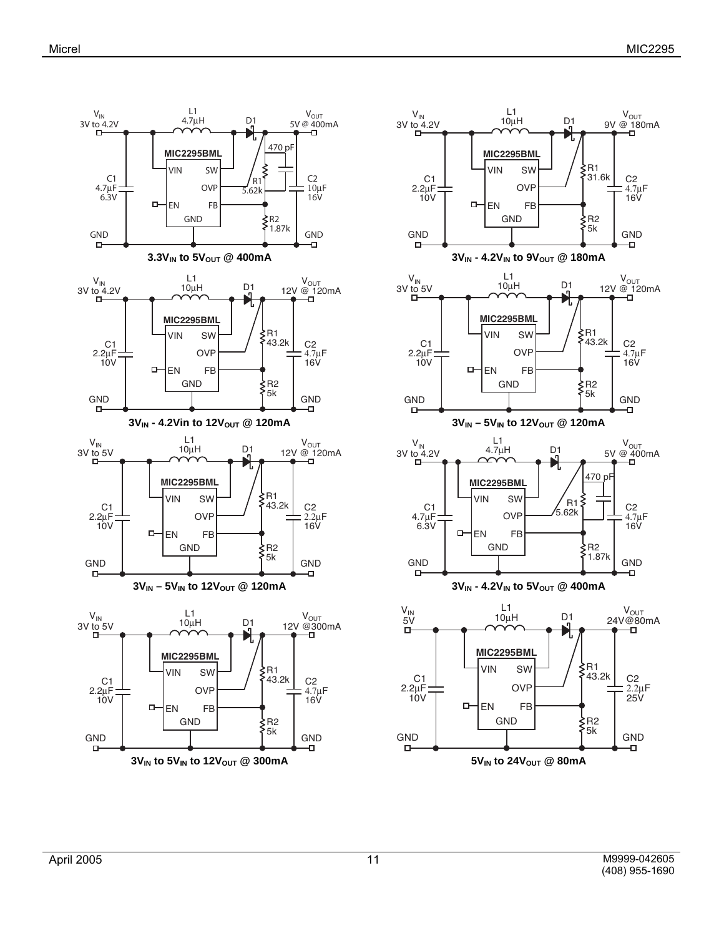

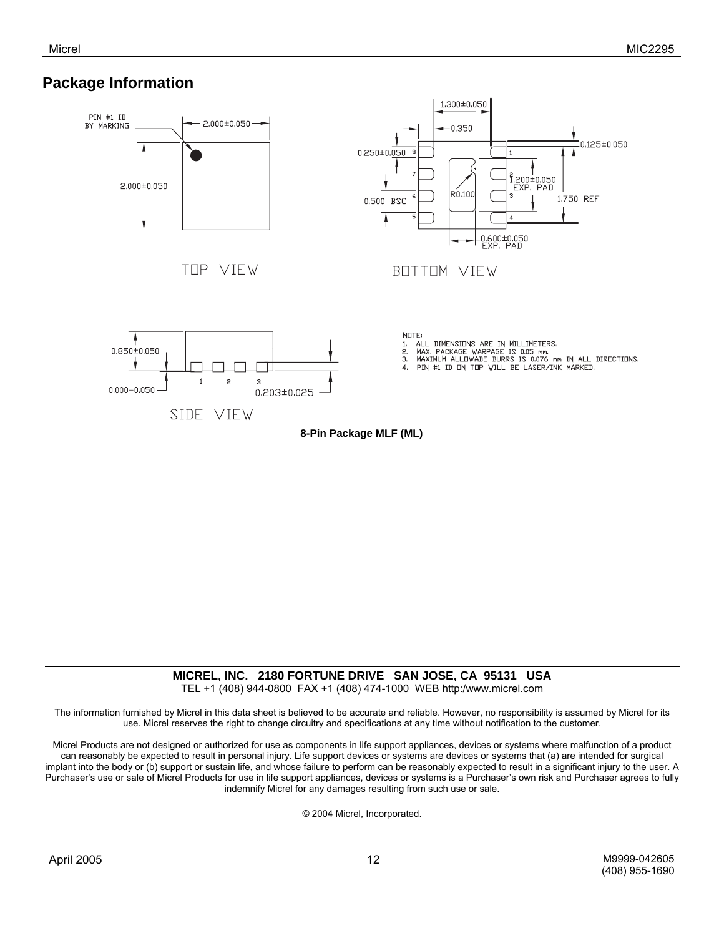### **Package Information**



### **MICREL, INC. 2180 FORTUNE DRIVE SAN JOSE, CA 95131 USA**

TEL +1 (408) 944-0800 FAX +1 (408) 474-1000 WEB http:/www.micrel.com

The information furnished by Micrel in this data sheet is believed to be accurate and reliable. However, no responsibility is assumed by Micrel for its use. Micrel reserves the right to change circuitry and specifications at any time without notification to the customer.

Micrel Products are not designed or authorized for use as components in life support appliances, devices or systems where malfunction of a product can reasonably be expected to result in personal injury. Life support devices or systems are devices or systems that (a) are intended for surgical implant into the body or (b) support or sustain life, and whose failure to perform can be reasonably expected to result in a significant injury to the user. A Purchaser's use or sale of Micrel Products for use in life support appliances, devices or systems is a Purchaser's own risk and Purchaser agrees to fully indemnify Micrel for any damages resulting from such use or sale.

© 2004 Micrel, Incorporated.